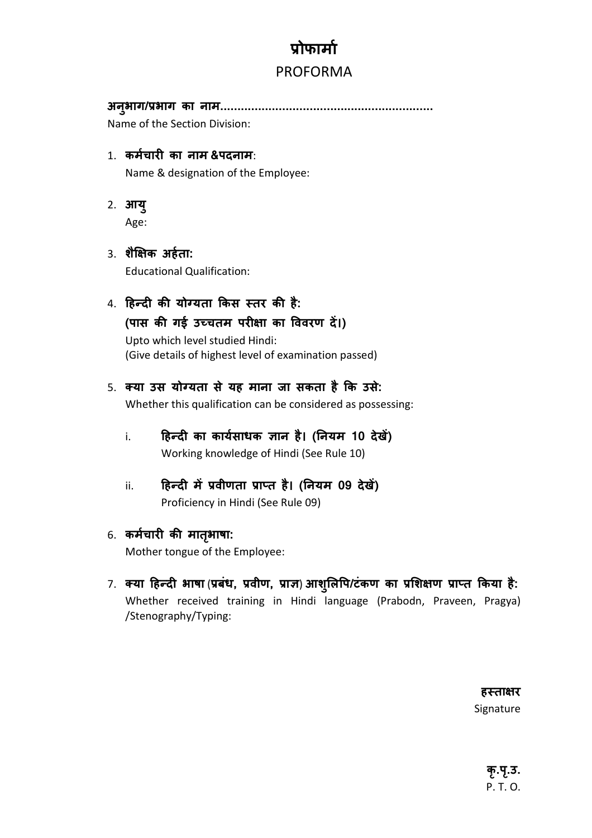## **ोफामा**

## PROFORMA

**अनुभाग/भाग का नाम..............................................................**

Name of the Section Division:

- 1. **कमचारJ का नाम &पदनाम**: Name & designation of the Employee:
- 2. **आयु**

Age:

- 3. **शै5क अहता:** Educational Qualification:
- 4. हिन्दी की योग्यता किस स्तर की है: (पास की गई उच्चतम परीक्षा का विवरण दें।) Upto which level studied Hindi: (Give details of highest level of examination passed)
- 5. **[या उस योIयता से यह माना जा सकता है क उसे:** Whether this qualification can be considered as possessing:
	- i. **हिन्दी का कार्यसाधक ज्ञान है। (नियम 10 देखें)** Working knowledge of Hindi (See Rule 10)
	- ii. **हिन्दी में प्रवीणता प्राप्त है। (नियम 09 देखें)** Proficiency in Hindi (See Rule 09)
- 6. कर्मचारी की मातृभाषा:

Mother tongue of the Employee:

7. क्या हिन्दी भाषा (प्रबंध, प्रवीण, प्राज्ञ) आशुलिपि/टंकण का प्रशिक्षण प्राप्त किया है: Whether received training in Hindi language (Prabodn, Praveen, Pragya) /Stenography/Typing:

> हस्ता<del>क्ष</del>र Signature